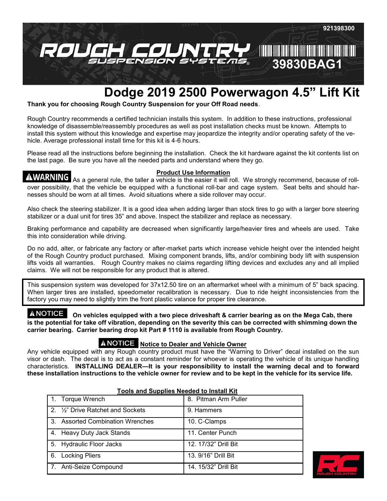

# **Dodge 2019 2500 Powerwagon 4.5" Lift Kit**

**Thank you for choosing Rough Country Suspension for your Off Road needs**.

Rough Country recommends a certified technician installs this system. In addition to these instructions, professional knowledge of disassemble/reassembly procedures as well as post installation checks must be known. Attempts to install this system without this knowledge and expertise may jeopardize the integrity and/or operating safety of the vehicle. Average professional install time for this kit is 4-6 hours.

Please read all the instructions before beginning the installation. Check the kit hardware against the kit contents list on the last page. Be sure you have all the needed parts and understand where they go.

#### **Product Use Information**

A WARNING As a general rule, the taller a vehicle is the easier it will roll. We strongly recommend, because of rollover possibility, that the vehicle be equipped with a functional roll-bar and cage system. Seat belts and should harnesses should be worn at all times. Avoid situations where a side rollover may occur.

Also check the steering stabilizer. It is a good idea when adding larger than stock tires to go with a larger bore steering stabilizer or a dual unit for tires 35" and above. Inspect the stabilizer and replace as necessary.

Braking performance and capability are decreased when significantly large/heavier tires and wheels are used. Take this into consideration while driving.

Do no add, alter, or fabricate any factory or after-market parts which increase vehicle height over the intended height of the Rough Country product purchased. Mixing component brands, lifts, and/or combining body lift with suspension lifts voids all warranties. Rough Country makes no claims regarding lifting devices and excludes any and all implied claims. We will not be responsible for any product that is altered.

This suspension system was developed for 37x12.50 tire on an aftermarket wheel with a minimum of 5" back spacing. When larger tires are installed, speedometer recalibration is necessary. Due to ride height inconsistencies from the factory you may need to slightly trim the front plastic valance for proper tire clearance.

**ANOTICE On vehicles equipped with a two piece driveshaft & carrier bearing as on the Mega Cab, there is the potential for take off vibration, depending on the severity this can be corrected with shimming down the carrier bearing. Carrier bearing drop kit Part # 1110 is available from Rough Country.** 

## **A NOTICE** Notice to Dealer and Vehicle Owner

Any vehicle equipped with any Rough country product must have the "Warning to Driver" decal installed on the sun visor or dash. The decal is to act as a constant reminder for whoever is operating the vehicle of its unique handling characteristics. **INSTALLING DEALER—It is your responsibility to install the warning decal and to forward these installation instructions to the vehicle owner for review and to be kept in the vehicle for its service life.**

| 1. Torque Wrench                               | 8. Pitman Arm Puller |  |  |  |  |
|------------------------------------------------|----------------------|--|--|--|--|
| 2. 1/ <sub>2</sub> " Drive Ratchet and Sockets | 9. Hammers           |  |  |  |  |
| 3. Assorted Combination Wrenches               | 10. C-Clamps         |  |  |  |  |
| 4. Heavy Duty Jack Stands                      | 11. Center Punch     |  |  |  |  |
| 5. Hydraulic Floor Jacks                       | 12. 17/32" Drill Bit |  |  |  |  |
| <b>Locking Pliers</b><br>6.                    | 13. 9/16" Drill Bit  |  |  |  |  |
| 7. Anti-Seize Compound                         | 14. 15/32" Drill Bit |  |  |  |  |

#### **Tools and Supplies Needed to Install Kit**

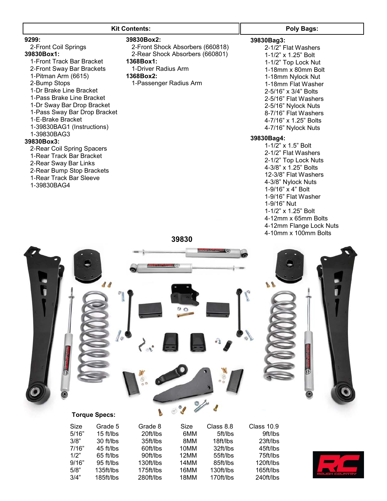| <b>Kit Contents:</b>                                                                                                                                                                                 |                                                                                                                                                              | <b>Poly Bags:</b>                                                                                                                                                                                                              |  |
|------------------------------------------------------------------------------------------------------------------------------------------------------------------------------------------------------|--------------------------------------------------------------------------------------------------------------------------------------------------------------|--------------------------------------------------------------------------------------------------------------------------------------------------------------------------------------------------------------------------------|--|
| 9299:<br>2-Front Coil Springs<br>39830Box1:<br>1-Front Track Bar Bracket<br>2-Front Sway Bar Brackets<br>1-Pitman Arm (6615)<br>2-Bump Stops<br>1-Dr Brake Line Bracket<br>1-Pass Brake Line Bracket | 39830Box2:<br>2-Front Shock Absorbers (660818)<br>2-Rear Shock Absorbers (660801)<br>1368Box1:<br>1-Driver Radius Arm<br>1368Box2:<br>1-Passenger Radius Arm | 39830Bag3:<br>2-1/2" Flat Washers<br>1-1/2" x 1.25" Bolt<br>1-1/2" Top Lock Nut<br>1-18mm x 80mm Bolt<br>1-18mm Nylock Nut<br>1-18mm Flat Washer<br>2-5/16" x 3/4" Bolts<br>2-5/16" Flat Washers                               |  |
| 1-Dr Sway Bar Drop Bracket<br>1-Pass Sway Bar Drop Bracket<br>1-E-Brake Bracket<br>1-39830BAG1 (Instructions)<br>1-39830BAG3<br>39830Box3:<br>2-Rear Coil Spring Spacers<br>1-Rear Track Bar Bracket |                                                                                                                                                              | 2-5/16" Nylock Nuts<br>8-7/16" Flat Washers<br>4-7/16" x 1.25" Bolts<br>4-7/16" Nylock Nuts<br>39830Bag4:<br>$1 - 1/2$ " x $1.5$ " Bolt<br>2-1/2" Flat Washers                                                                 |  |
| 2-Rear Sway Bar Links<br>2-Rear Bump Stop Brackets<br>1-Rear Track Bar Sleeve<br>1-39830BAG4                                                                                                         |                                                                                                                                                              | 2-1/2" Top Lock Nuts<br>4-3/8" x 1.25" Bolts<br>12-3/8" Flat Washers<br>4-3/8" Nylock Nuts<br>1-9/16" x 4" Bolt<br>1-9/16" Flat Washer<br>1-9/16" Nut<br>1-1/2" x 1.25" Bolt<br>4-12mm x 65mm Bolts<br>4-12mm Flange Lock Nuts |  |
|                                                                                                                                                                                                      | 39830                                                                                                                                                        | 4-10mm x 100mm Bolts                                                                                                                                                                                                           |  |





| Size  | Grade 5     | Grade 8   | Size | Class 8.8 | Class 10.9 |
|-------|-------------|-----------|------|-----------|------------|
| 5/16" | $15$ ft/lbs | 20ft/lbs  | 6MM  | 5ft/lbs   | 9ft/lbs    |
| 3/8"  | 30 ft/lbs   | 35ft/lbs  | 8MM  | 18ft/lbs  | 23ft/lbs   |
| 7/16" | 45 ft/lbs   | 60ft/lbs  | 10MM | 32ft/lbs  | 45ft/lbs   |
| 1/2"  | 65 ft/lbs   | 90ft/lbs  | 12MM | 55ft/lbs  | 75ft/lbs   |
| 9/16" | 95 ft/lbs   | 130ft/lbs | 14MM | 85ft/lbs  | 120ft/lbs  |
| 5/8"  | 135ft/lbs   | 175ft/lbs | 16MM | 130ft/lbs | 165ft/lbs  |
| 3/4"  | 185ft/lbs   | 280ft/lbs | 18MM | 170ft/lbs | 240ft/lbs  |

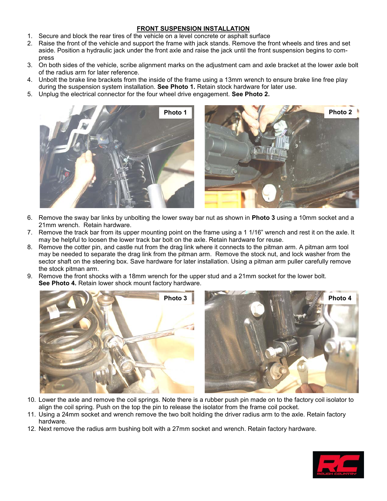#### **FRONT SUSPENSION INSTALLATION**

- 1. Secure and block the rear tires of the vehicle on a level concrete or asphalt surface
- 2. Raise the front of the vehicle and support the frame with jack stands. Remove the front wheels and tires and set aside. Position a hydraulic jack under the front axle and raise the jack until the front suspension begins to compress
- 3. On both sides of the vehicle, scribe alignment marks on the adjustment cam and axle bracket at the lower axle bolt of the radius arm for later reference.
- 4. Unbolt the brake line brackets from the inside of the frame using a 13mm wrench to ensure brake line free play during the suspension system installation. **See Photo 1.** Retain stock hardware for later use.
- 5. Unplug the electrical connector for the four wheel drive engagement. **See Photo 2.**



- 6. Remove the sway bar links by unbolting the lower sway bar nut as shown in **Photo 3** using a 10mm socket and a 21mm wrench. Retain hardware.
- 7. Remove the track bar from its upper mounting point on the frame using a 1 1/16" wrench and rest it on the axle. It may be helpful to loosen the lower track bar bolt on the axle. Retain hardware for reuse.
- 8. Remove the cotter pin, and castle nut from the drag link where it connects to the pitman arm. A pitman arm tool may be needed to separate the drag link from the pitman arm. Remove the stock nut, and lock washer from the sector shaft on the steering box. Save hardware for later installation. Using a pitman arm puller carefully remove the stock pitman arm.
- 9. Remove the front shocks with a 18mm wrench for the upper stud and a 21mm socket for the lower bolt. **See Photo 4.** Retain lower shock mount factory hardware.



- 10. Lower the axle and remove the coil springs. Note there is a rubber push pin made on to the factory coil isolator to align the coil spring. Push on the top the pin to release the isolator from the frame coil pocket.
- 11. Using a 24mm socket and wrench remove the two bolt holding the driver radius arm to the axle. Retain factory hardware.
- 12. Next remove the radius arm bushing bolt with a 27mm socket and wrench. Retain factory hardware.

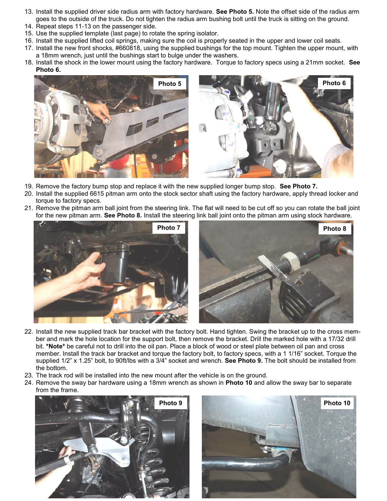- 13. Install the supplied driver side radius arm with factory hardware. **See Photo 5.** Note the offset side of the radius arm goes to the outside of the truck. Do not tighten the radius arm bushing bolt until the truck is sitting on the ground.
- 14. Repeat steps 11-13 on the passenger side.
- 15. Use the supplied template (last page) to rotate the spring isolator.
- 16. Install the supplied lifted coil springs, making sure the coil is properly seated in the upper and lower coil seats.
- 17. Install the new front shocks, #660818, using the supplied bushings for the top mount. Tighten the upper mount, with a 18mm wrench, just until the bushings start to bulge under the washers.
- 18. Install the shock in the lower mount using the factory hardware. Torque to factory specs using a 21mm socket. **See Photo 6.**



- 19. Remove the factory bump stop and replace it with the new supplied longer bump stop. **See Photo 7.**
- 20. Install the supplied 6615 pitman arm onto the stock sector shaft using the factory hardware, apply thread locker and torque to factory specs.
- 21. Remove the pitman arm ball joint from the steering link. The flat will need to be cut off so you can rotate the ball joint for the new pitman arm. **See Photo 8.** Install the steering link ball joint onto the pitman arm using stock hardware.



- 22. Install the new supplied track bar bracket with the factory bolt. Hand tighten. Swing the bracket up to the cross member and mark the hole location for the support bolt, then remove the bracket. Drill the marked hole with a 17/32 drill bit. **\*Note\*** be careful not to drill into the oil pan. Place a block of wood or steel plate between oil pan and cross member. Install the track bar bracket and torque the factory bolt, to factory specs, with a 1 1/16" socket. Torque the supplied 1/2" x 1.25" bolt, to 90ft/lbs with a 3/4" socket and wrench. **See Photo 9.** The bolt should be installed from the bottom.
- 23. The track rod will be installed into the new mount after the vehicle is on the ground.
- 24. Remove the sway bar hardware using a 18mm wrench as shown in **Photo 10** and allow the sway bar to separate from the frame.



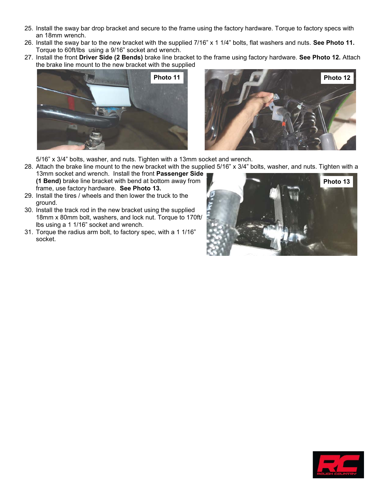- 25. Install the sway bar drop bracket and secure to the frame using the factory hardware. Torque to factory specs with an 18mm wrench.
- 26. Install the sway bar to the new bracket with the supplied 7/16" x 1 1/4" bolts, flat washers and nuts. **See Photo 11.**  Torque to 60ft/lbs using a 9/16" socket and wrench.
- 27. Install the front **Driver Side (2 Bends)** brake line bracket to the frame using factory hardware. **See Photo 12.** Attach the brake line mount to the new bracket with the supplied





5/16" x 3/4" bolts, washer, and nuts. Tighten with a 13mm socket and wrench.

- 28. Attach the brake line mount to the new bracket with the supplied 5/16" x 3/4" bolts, washer, and nuts. Tighten with a 13mm socket and wrench. Install the front **Passenger Side (1 Bend)** brake line bracket with bend at bottom away from frame, use factory hardware. **See Photo 13.**
- 29. Install the tires / wheels and then lower the truck to the ground.
- 30. Install the track rod in the new bracket using the supplied 18mm x 80mm bolt, washers, and lock nut. Torque to 170ft/ lbs using a 1 1/16" socket and wrench.
- 31. Torque the radius arm bolt, to factory spec, with a 1 1/16" socket.



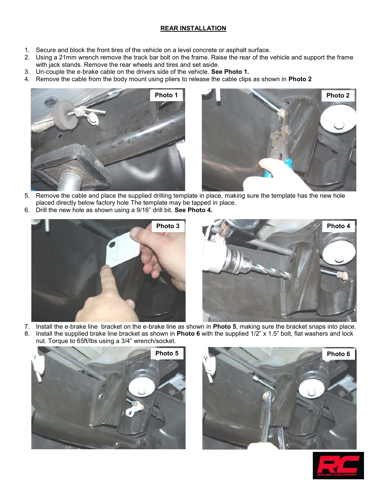### **REAR INSTALLATION**

- 1. Secure and block the front tires of the vehicle on a level concrete or asphalt surface.
- 2. Using a 21mm wrench remove the track bar bolt on the frame. Raise the rear of the vehicle and support the frame with jack stands. Remove the rear wheels and tires and set aside.
- 3. Un-couple the e-brake cable on the drivers side of the vehicle. **See Photo 1.**
- 4. Remove the cable from the body mount using pliers to release the cable clips as shown in **Photo 2**





- 5. Remove the cable and place the supplied drilling template in place, making sure the template has the new hole placed directly below factory hole The template may be tapped in place.
- 6. Drill the new hole as shown using a 9/16" drill bit. **See Photo 4.**





7. Install the e-brake line bracket on the e-brake line as shown in **Photo 5**, making sure the bracket snaps into place. 8. Install the supplied brake line bracket as shown in **Photo 6** with the supplied 1/2" x 1.5" bolt, flat washers and lock nut. Torque to 65ft/lbs using a 3/4" wrench/socket.





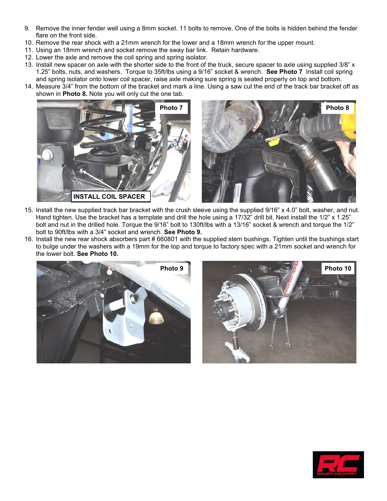- 9. Remove the inner fender well using a 8mm socket. 11 bolts to remove. One of the bolts is hidden behind the fender flare on the front side.
- 10. Remove the rear shock with a 21mm wrench for the lower and a 18mm wrench for the upper mount.
- 11. Using an 18mm wrench and socket remove the sway bar link. Retain hardware.
- 12. Lower the axle and remove the coil spring and spring isolator.
- 13. Install new spacer on axle with the shorter side to the front of the truck, secure spacer to axle using supplied 3/8" x 1.25" bolts, nuts, and washers. Torque to 35ft/lbs using a 9/16" socket & wrench. **See Photo 7** Install coil spring and spring isolator onto lower coil spacer, raise axle making sure spring is seated properly on top and bottom.
- 14. Measure 3/4" from the bottom of the bracket and mark a line. Using a saw cut the end of the track bar bracket off as shown in **Photo 8.** Note you will only cut the one tab.





- 15. Install the new supplied track bar bracket with the crush sleeve using the supplied 9/16" x 4.0" bolt, washer, and nut. Hand tighten. Use the bracket has a template and drill the hole using a 17/32" drill bit. Next install the 1/2" x 1.25" bolt and nut in the drilled hole. Torque the 9/16" bolt to 130ft/lbs with a 13/16" socket & wrench and torque the 1/2" bolt to 90ft/lbs with a 3/4" socket and wrench. **See Photo 9.**
- 16. Install the new rear shock absorbers part # 660801 with the supplied stem bushings. Tighten until the bushings start to bulge under the washers with a 19mm for the top and torque to factory spec with a 21mm socket and wrench for the lower bolt. **See Photo 10.**





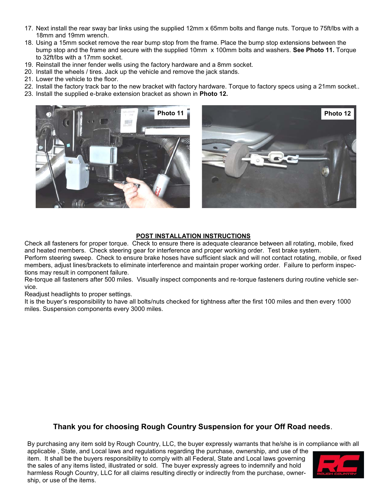- 17. Next install the rear sway bar links using the supplied 12mm x 65mm bolts and flange nuts. Torque to 75ft/lbs with a 18mm and 19mm wrench.
- 18. Using a 15mm socket remove the rear bump stop from the frame. Place the bump stop extensions between the bump stop and the frame and secure with the supplied 10mm x 100mm bolts and washers. **See Photo 11.** Torque to 32ft/lbs with a 17mm socket.
- 19. Reinstall the inner fender wells using the factory hardware and a 8mm socket.
- 20. Install the wheels / tires. Jack up the vehicle and remove the jack stands.
- 21. Lower the vehicle to the floor.
- 22. Install the factory track bar to the new bracket with factory hardware. Torque to factory specs using a 21mm socket..
- 23. Install the supplied e-brake extension bracket as shown in **Photo 12.**





#### **POST INSTALLATION INSTRUCTIONS**

Check all fasteners for proper torque. Check to ensure there is adequate clearance between all rotating, mobile, fixed and heated members. Check steering gear for interference and proper working order. Test brake system. Perform steering sweep. Check to ensure brake hoses have sufficient slack and will not contact rotating, mobile, or fixed members, adjust lines/brackets to eliminate interference and maintain proper working order. Failure to perform inspections may result in component failure.

Re-torque all fasteners after 500 miles. Visually inspect components and re-torque fasteners during routine vehicle service.

Readjust headlights to proper settings.

It is the buyer's responsibility to have all bolts/nuts checked for tightness after the first 100 miles and then every 1000 miles. Suspension components every 3000 miles.

### **Thank you for choosing Rough Country Suspension for your Off Road needs**.

By purchasing any item sold by Rough Country, LLC, the buyer expressly warrants that he/she is in compliance with all

applicable , State, and Local laws and regulations regarding the purchase, ownership, and use of the item. It shall be the buyers responsibility to comply with all Federal, State and Local laws governing the sales of any items listed, illustrated or sold. The buyer expressly agrees to indemnify and hold harmless Rough Country, LLC for all claims resulting directly or indirectly from the purchase, ownership, or use of the items.